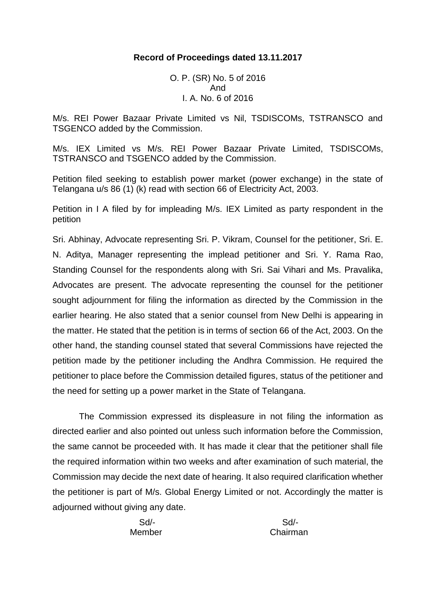# **Record of Proceedings dated 13.11.2017**

O. P. (SR) No. 5 of 2016 And I. A. No. 6 of 2016

M/s. REI Power Bazaar Private Limited vs Nil, TSDISCOMs, TSTRANSCO and TSGENCO added by the Commission.

M/s. IEX Limited vs M/s. REI Power Bazaar Private Limited, TSDISCOMs, TSTRANSCO and TSGENCO added by the Commission.

Petition filed seeking to establish power market (power exchange) in the state of Telangana u/s 86 (1) (k) read with section 66 of Electricity Act, 2003.

Petition in I A filed by for impleading M/s. IEX Limited as party respondent in the petition

Sri. Abhinay, Advocate representing Sri. P. Vikram, Counsel for the petitioner, Sri. E. N. Aditya, Manager representing the implead petitioner and Sri. Y. Rama Rao, Standing Counsel for the respondents along with Sri. Sai Vihari and Ms. Pravalika, Advocates are present. The advocate representing the counsel for the petitioner sought adjournment for filing the information as directed by the Commission in the earlier hearing. He also stated that a senior counsel from New Delhi is appearing in the matter. He stated that the petition is in terms of section 66 of the Act, 2003. On the other hand, the standing counsel stated that several Commissions have rejected the petition made by the petitioner including the Andhra Commission. He required the petitioner to place before the Commission detailed figures, status of the petitioner and the need for setting up a power market in the State of Telangana.

The Commission expressed its displeasure in not filing the information as directed earlier and also pointed out unless such information before the Commission, the same cannot be proceeded with. It has made it clear that the petitioner shall file the required information within two weeks and after examination of such material, the Commission may decide the next date of hearing. It also required clarification whether the petitioner is part of M/s. Global Energy Limited or not. Accordingly the matter is adjourned without giving any date.

Sd/- Sd/-

Member Chairman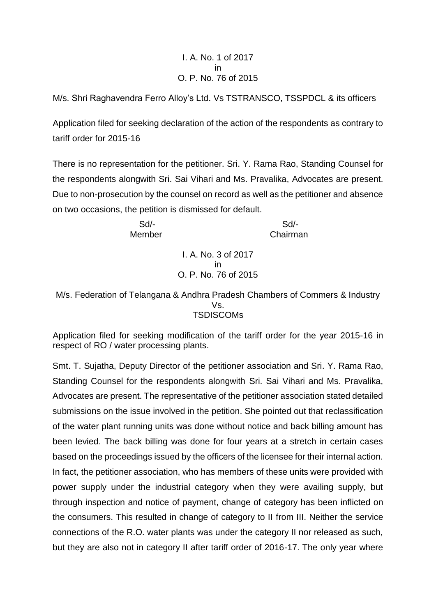### I. A. No. 1 of 2017 in O. P. No. 76 of 2015

M/s. Shri Raghavendra Ferro Alloy's Ltd. Vs TSTRANSCO, TSSPDCL & its officers

Application filed for seeking declaration of the action of the respondents as contrary to tariff order for 2015-16

There is no representation for the petitioner. Sri. Y. Rama Rao, Standing Counsel for the respondents alongwith Sri. Sai Vihari and Ms. Pravalika, Advocates are present. Due to non-prosecution by the counsel on record as well as the petitioner and absence on two occasions, the petition is dismissed for default.

 Sd/- Sd/- Member Chairman

> I. A. No. 3 of 2017 in O. P. No. 76 of 2015

M/s. Federation of Telangana & Andhra Pradesh Chambers of Commers & Industry Vs. **TSDISCOMs** 

Application filed for seeking modification of the tariff order for the year 2015-16 in respect of RO / water processing plants.

Smt. T. Sujatha, Deputy Director of the petitioner association and Sri. Y. Rama Rao, Standing Counsel for the respondents alongwith Sri. Sai Vihari and Ms. Pravalika, Advocates are present. The representative of the petitioner association stated detailed submissions on the issue involved in the petition. She pointed out that reclassification of the water plant running units was done without notice and back billing amount has been levied. The back billing was done for four years at a stretch in certain cases based on the proceedings issued by the officers of the licensee for their internal action. In fact, the petitioner association, who has members of these units were provided with power supply under the industrial category when they were availing supply, but through inspection and notice of payment, change of category has been inflicted on the consumers. This resulted in change of category to II from III. Neither the service connections of the R.O. water plants was under the category II nor released as such, but they are also not in category II after tariff order of 2016-17. The only year where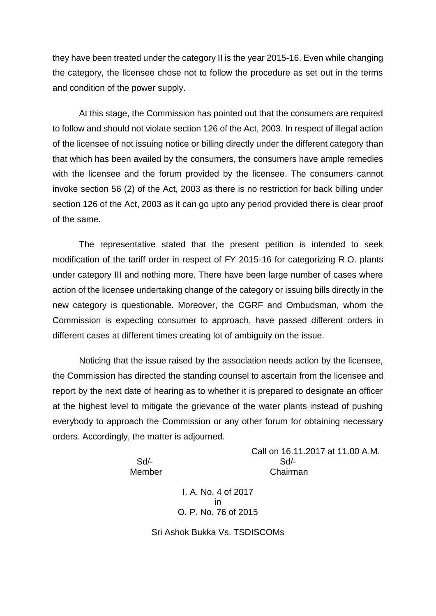they have been treated under the category II is the year 2015-16. Even while changing the category, the licensee chose not to follow the procedure as set out in the terms and condition of the power supply.

At this stage, the Commission has pointed out that the consumers are required to follow and should not violate section 126 of the Act, 2003. In respect of illegal action of the licensee of not issuing notice or billing directly under the different category than that which has been availed by the consumers, the consumers have ample remedies with the licensee and the forum provided by the licensee. The consumers cannot invoke section 56 (2) of the Act, 2003 as there is no restriction for back billing under section 126 of the Act, 2003 as it can go upto any period provided there is clear proof of the same.

The representative stated that the present petition is intended to seek modification of the tariff order in respect of FY 2015-16 for categorizing R.O. plants under category III and nothing more. There have been large number of cases where action of the licensee undertaking change of the category or issuing bills directly in the new category is questionable. Moreover, the CGRF and Ombudsman, whom the Commission is expecting consumer to approach, have passed different orders in different cases at different times creating lot of ambiguity on the issue.

Noticing that the issue raised by the association needs action by the licensee, the Commission has directed the standing counsel to ascertain from the licensee and report by the next date of hearing as to whether it is prepared to designate an officer at the highest level to mitigate the grievance of the water plants instead of pushing everybody to approach the Commission or any other forum for obtaining necessary orders. Accordingly, the matter is adjourned.

Call on 16.11.2017 at 11.00 A.M. Sd/- Sd/- Member Chairman

> I. A. No. 4 of 2017 in O. P. No. 76 of 2015

Sri Ashok Bukka Vs. TSDISCOMs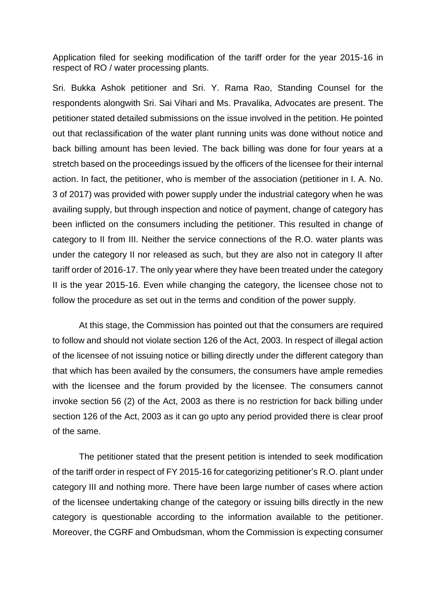Application filed for seeking modification of the tariff order for the year 2015-16 in respect of RO / water processing plants.

Sri. Bukka Ashok petitioner and Sri. Y. Rama Rao, Standing Counsel for the respondents alongwith Sri. Sai Vihari and Ms. Pravalika, Advocates are present. The petitioner stated detailed submissions on the issue involved in the petition. He pointed out that reclassification of the water plant running units was done without notice and back billing amount has been levied. The back billing was done for four years at a stretch based on the proceedings issued by the officers of the licensee for their internal action. In fact, the petitioner, who is member of the association (petitioner in I. A. No. 3 of 2017) was provided with power supply under the industrial category when he was availing supply, but through inspection and notice of payment, change of category has been inflicted on the consumers including the petitioner. This resulted in change of category to II from III. Neither the service connections of the R.O. water plants was under the category II nor released as such, but they are also not in category II after tariff order of 2016-17. The only year where they have been treated under the category II is the year 2015-16. Even while changing the category, the licensee chose not to follow the procedure as set out in the terms and condition of the power supply.

At this stage, the Commission has pointed out that the consumers are required to follow and should not violate section 126 of the Act, 2003. In respect of illegal action of the licensee of not issuing notice or billing directly under the different category than that which has been availed by the consumers, the consumers have ample remedies with the licensee and the forum provided by the licensee. The consumers cannot invoke section 56 (2) of the Act, 2003 as there is no restriction for back billing under section 126 of the Act, 2003 as it can go upto any period provided there is clear proof of the same.

The petitioner stated that the present petition is intended to seek modification of the tariff order in respect of FY 2015-16 for categorizing petitioner's R.O. plant under category III and nothing more. There have been large number of cases where action of the licensee undertaking change of the category or issuing bills directly in the new category is questionable according to the information available to the petitioner. Moreover, the CGRF and Ombudsman, whom the Commission is expecting consumer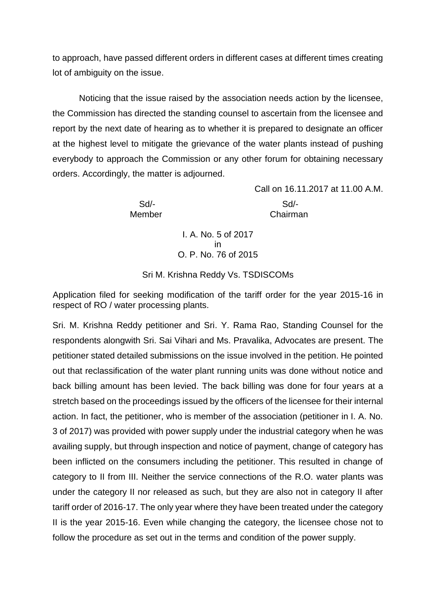to approach, have passed different orders in different cases at different times creating lot of ambiguity on the issue.

Noticing that the issue raised by the association needs action by the licensee, the Commission has directed the standing counsel to ascertain from the licensee and report by the next date of hearing as to whether it is prepared to designate an officer at the highest level to mitigate the grievance of the water plants instead of pushing everybody to approach the Commission or any other forum for obtaining necessary orders. Accordingly, the matter is adjourned.

Sd/- Sd/-

Call on 16.11.2017 at 11.00 A.M.

Member Chairman

I. A. No. 5 of 2017 in O. P. No. 76 of 2015

Sri M. Krishna Reddy Vs. TSDISCOMs

Application filed for seeking modification of the tariff order for the year 2015-16 in respect of RO / water processing plants.

Sri. M. Krishna Reddy petitioner and Sri. Y. Rama Rao, Standing Counsel for the respondents alongwith Sri. Sai Vihari and Ms. Pravalika, Advocates are present. The petitioner stated detailed submissions on the issue involved in the petition. He pointed out that reclassification of the water plant running units was done without notice and back billing amount has been levied. The back billing was done for four years at a stretch based on the proceedings issued by the officers of the licensee for their internal action. In fact, the petitioner, who is member of the association (petitioner in I. A. No. 3 of 2017) was provided with power supply under the industrial category when he was availing supply, but through inspection and notice of payment, change of category has been inflicted on the consumers including the petitioner. This resulted in change of category to II from III. Neither the service connections of the R.O. water plants was under the category II nor released as such, but they are also not in category II after tariff order of 2016-17. The only year where they have been treated under the category II is the year 2015-16. Even while changing the category, the licensee chose not to follow the procedure as set out in the terms and condition of the power supply.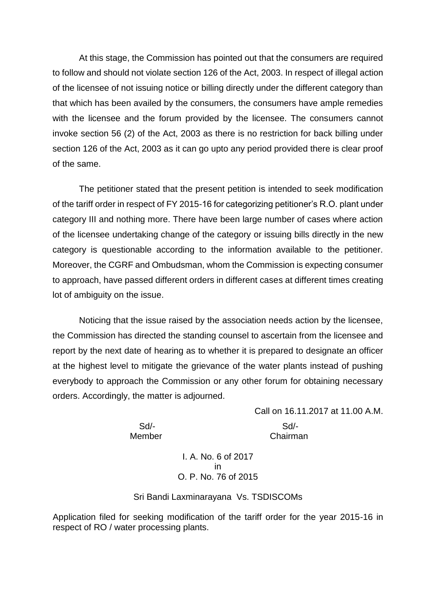At this stage, the Commission has pointed out that the consumers are required to follow and should not violate section 126 of the Act, 2003. In respect of illegal action of the licensee of not issuing notice or billing directly under the different category than that which has been availed by the consumers, the consumers have ample remedies with the licensee and the forum provided by the licensee. The consumers cannot invoke section 56 (2) of the Act, 2003 as there is no restriction for back billing under section 126 of the Act, 2003 as it can go upto any period provided there is clear proof of the same.

The petitioner stated that the present petition is intended to seek modification of the tariff order in respect of FY 2015-16 for categorizing petitioner's R.O. plant under category III and nothing more. There have been large number of cases where action of the licensee undertaking change of the category or issuing bills directly in the new category is questionable according to the information available to the petitioner. Moreover, the CGRF and Ombudsman, whom the Commission is expecting consumer to approach, have passed different orders in different cases at different times creating lot of ambiguity on the issue.

Noticing that the issue raised by the association needs action by the licensee, the Commission has directed the standing counsel to ascertain from the licensee and report by the next date of hearing as to whether it is prepared to designate an officer at the highest level to mitigate the grievance of the water plants instead of pushing everybody to approach the Commission or any other forum for obtaining necessary orders. Accordingly, the matter is adjourned.

> Call on 16.11.2017 at 11.00 A.M. Sd/- Sd/- Member **Chairman**

> > I. A. No. 6 of 2017 in O. P. No. 76 of 2015

#### Sri Bandi Laxminarayana Vs. TSDISCOMs

Application filed for seeking modification of the tariff order for the year 2015-16 in respect of RO / water processing plants.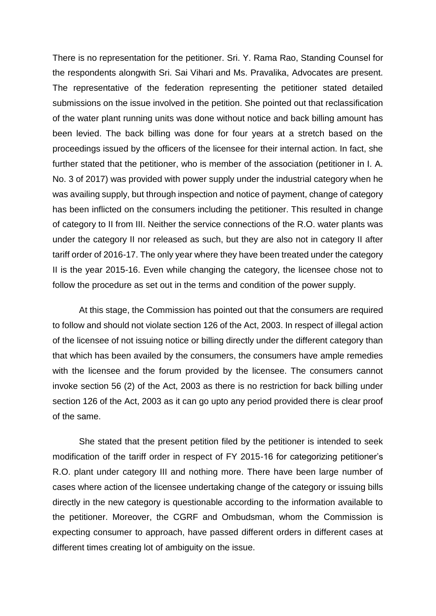There is no representation for the petitioner. Sri. Y. Rama Rao, Standing Counsel for the respondents alongwith Sri. Sai Vihari and Ms. Pravalika, Advocates are present. The representative of the federation representing the petitioner stated detailed submissions on the issue involved in the petition. She pointed out that reclassification of the water plant running units was done without notice and back billing amount has been levied. The back billing was done for four years at a stretch based on the proceedings issued by the officers of the licensee for their internal action. In fact, she further stated that the petitioner, who is member of the association (petitioner in I. A. No. 3 of 2017) was provided with power supply under the industrial category when he was availing supply, but through inspection and notice of payment, change of category has been inflicted on the consumers including the petitioner. This resulted in change of category to II from III. Neither the service connections of the R.O. water plants was under the category II nor released as such, but they are also not in category II after tariff order of 2016-17. The only year where they have been treated under the category II is the year 2015-16. Even while changing the category, the licensee chose not to follow the procedure as set out in the terms and condition of the power supply.

At this stage, the Commission has pointed out that the consumers are required to follow and should not violate section 126 of the Act, 2003. In respect of illegal action of the licensee of not issuing notice or billing directly under the different category than that which has been availed by the consumers, the consumers have ample remedies with the licensee and the forum provided by the licensee. The consumers cannot invoke section 56 (2) of the Act, 2003 as there is no restriction for back billing under section 126 of the Act, 2003 as it can go upto any period provided there is clear proof of the same.

She stated that the present petition filed by the petitioner is intended to seek modification of the tariff order in respect of FY 2015-16 for categorizing petitioner's R.O. plant under category III and nothing more. There have been large number of cases where action of the licensee undertaking change of the category or issuing bills directly in the new category is questionable according to the information available to the petitioner. Moreover, the CGRF and Ombudsman, whom the Commission is expecting consumer to approach, have passed different orders in different cases at different times creating lot of ambiguity on the issue.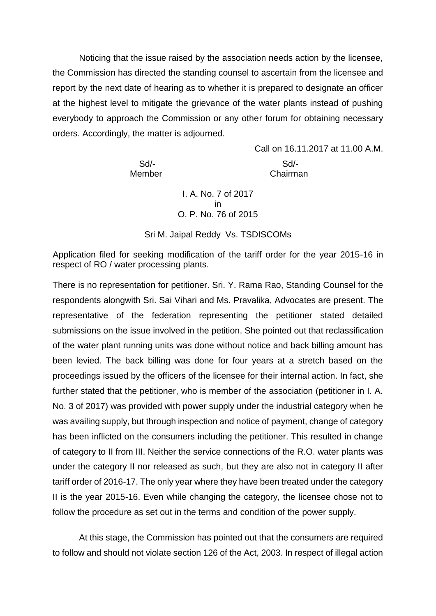Noticing that the issue raised by the association needs action by the licensee, the Commission has directed the standing counsel to ascertain from the licensee and report by the next date of hearing as to whether it is prepared to designate an officer at the highest level to mitigate the grievance of the water plants instead of pushing everybody to approach the Commission or any other forum for obtaining necessary orders. Accordingly, the matter is adjourned.

Call on 16.11.2017 at 11.00 A.M. Sd/- Sd/- Member Chairman

> I. A. No. 7 of 2017 in O. P. No. 76 of 2015

Sri M. Jaipal Reddy Vs. TSDISCOMs

Application filed for seeking modification of the tariff order for the year 2015-16 in respect of RO / water processing plants.

There is no representation for petitioner. Sri. Y. Rama Rao, Standing Counsel for the respondents alongwith Sri. Sai Vihari and Ms. Pravalika, Advocates are present. The representative of the federation representing the petitioner stated detailed submissions on the issue involved in the petition. She pointed out that reclassification of the water plant running units was done without notice and back billing amount has been levied. The back billing was done for four years at a stretch based on the proceedings issued by the officers of the licensee for their internal action. In fact, she further stated that the petitioner, who is member of the association (petitioner in I. A. No. 3 of 2017) was provided with power supply under the industrial category when he was availing supply, but through inspection and notice of payment, change of category has been inflicted on the consumers including the petitioner. This resulted in change of category to II from III. Neither the service connections of the R.O. water plants was under the category II nor released as such, but they are also not in category II after tariff order of 2016-17. The only year where they have been treated under the category II is the year 2015-16. Even while changing the category, the licensee chose not to follow the procedure as set out in the terms and condition of the power supply.

At this stage, the Commission has pointed out that the consumers are required to follow and should not violate section 126 of the Act, 2003. In respect of illegal action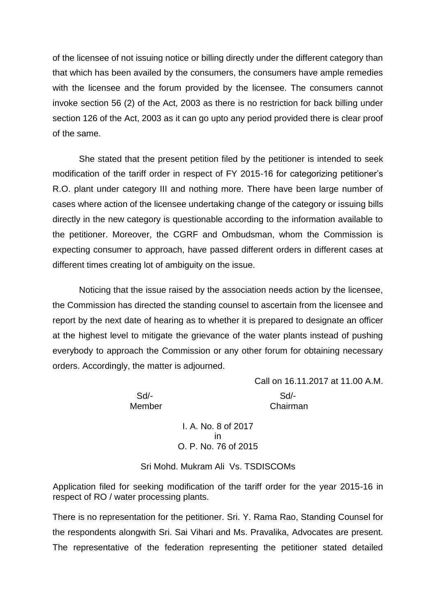of the licensee of not issuing notice or billing directly under the different category than that which has been availed by the consumers, the consumers have ample remedies with the licensee and the forum provided by the licensee. The consumers cannot invoke section 56 (2) of the Act, 2003 as there is no restriction for back billing under section 126 of the Act, 2003 as it can go upto any period provided there is clear proof of the same.

She stated that the present petition filed by the petitioner is intended to seek modification of the tariff order in respect of FY 2015-16 for categorizing petitioner's R.O. plant under category III and nothing more. There have been large number of cases where action of the licensee undertaking change of the category or issuing bills directly in the new category is questionable according to the information available to the petitioner. Moreover, the CGRF and Ombudsman, whom the Commission is expecting consumer to approach, have passed different orders in different cases at different times creating lot of ambiguity on the issue.

Noticing that the issue raised by the association needs action by the licensee, the Commission has directed the standing counsel to ascertain from the licensee and report by the next date of hearing as to whether it is prepared to designate an officer at the highest level to mitigate the grievance of the water plants instead of pushing everybody to approach the Commission or any other forum for obtaining necessary orders. Accordingly, the matter is adjourned.

Call on 16.11.2017 at 11.00 A.M. Sd/- Sd/- Member Chairman

> I. A. No. 8 of 2017 in O. P. No. 76 of 2015

Sri Mohd. Mukram Ali Vs. TSDISCOMs

Application filed for seeking modification of the tariff order for the year 2015-16 in respect of RO / water processing plants.

There is no representation for the petitioner. Sri. Y. Rama Rao, Standing Counsel for the respondents alongwith Sri. Sai Vihari and Ms. Pravalika, Advocates are present. The representative of the federation representing the petitioner stated detailed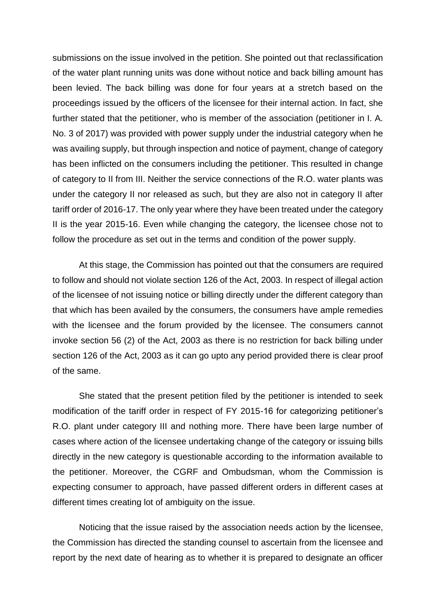submissions on the issue involved in the petition. She pointed out that reclassification of the water plant running units was done without notice and back billing amount has been levied. The back billing was done for four years at a stretch based on the proceedings issued by the officers of the licensee for their internal action. In fact, she further stated that the petitioner, who is member of the association (petitioner in I. A. No. 3 of 2017) was provided with power supply under the industrial category when he was availing supply, but through inspection and notice of payment, change of category has been inflicted on the consumers including the petitioner. This resulted in change of category to II from III. Neither the service connections of the R.O. water plants was under the category II nor released as such, but they are also not in category II after tariff order of 2016-17. The only year where they have been treated under the category II is the year 2015-16. Even while changing the category, the licensee chose not to follow the procedure as set out in the terms and condition of the power supply.

At this stage, the Commission has pointed out that the consumers are required to follow and should not violate section 126 of the Act, 2003. In respect of illegal action of the licensee of not issuing notice or billing directly under the different category than that which has been availed by the consumers, the consumers have ample remedies with the licensee and the forum provided by the licensee. The consumers cannot invoke section 56 (2) of the Act, 2003 as there is no restriction for back billing under section 126 of the Act, 2003 as it can go upto any period provided there is clear proof of the same.

She stated that the present petition filed by the petitioner is intended to seek modification of the tariff order in respect of FY 2015-16 for categorizing petitioner's R.O. plant under category III and nothing more. There have been large number of cases where action of the licensee undertaking change of the category or issuing bills directly in the new category is questionable according to the information available to the petitioner. Moreover, the CGRF and Ombudsman, whom the Commission is expecting consumer to approach, have passed different orders in different cases at different times creating lot of ambiguity on the issue.

Noticing that the issue raised by the association needs action by the licensee, the Commission has directed the standing counsel to ascertain from the licensee and report by the next date of hearing as to whether it is prepared to designate an officer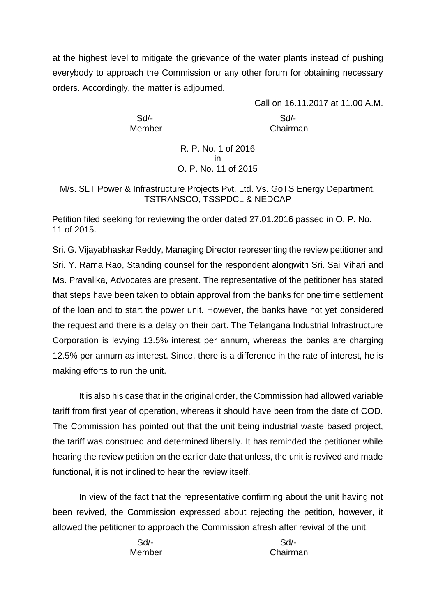at the highest level to mitigate the grievance of the water plants instead of pushing everybody to approach the Commission or any other forum for obtaining necessary orders. Accordingly, the matter is adjourned.

Call on 16.11.2017 at 11.00 A.M. Sd/- Sd/- Member **Chairman** 

> R. P. No. 1 of 2016 in O. P. No. 11 of 2015

M/s. SLT Power & Infrastructure Projects Pvt. Ltd. Vs. GoTS Energy Department, TSTRANSCO, TSSPDCL & NEDCAP

Petition filed seeking for reviewing the order dated 27.01.2016 passed in O. P. No. 11 of 2015.

Sri. G. Vijayabhaskar Reddy, Managing Director representing the review petitioner and Sri. Y. Rama Rao, Standing counsel for the respondent alongwith Sri. Sai Vihari and Ms. Pravalika, Advocates are present. The representative of the petitioner has stated that steps have been taken to obtain approval from the banks for one time settlement of the loan and to start the power unit. However, the banks have not yet considered the request and there is a delay on their part. The Telangana Industrial Infrastructure Corporation is levying 13.5% interest per annum, whereas the banks are charging 12.5% per annum as interest. Since, there is a difference in the rate of interest, he is making efforts to run the unit.

It is also his case that in the original order, the Commission had allowed variable tariff from first year of operation, whereas it should have been from the date of COD. The Commission has pointed out that the unit being industrial waste based project, the tariff was construed and determined liberally. It has reminded the petitioner while hearing the review petition on the earlier date that unless, the unit is revived and made functional, it is not inclined to hear the review itself.

In view of the fact that the representative confirming about the unit having not been revived, the Commission expressed about rejecting the petition, however, it allowed the petitioner to approach the Commission afresh after revival of the unit.

Sd/- Sd/-

Member Chairman